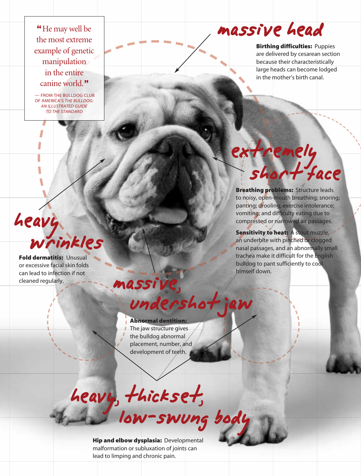He may well be the most extreme example of genetic manipulation in the entire canine world."

— FROM THE BULLDOG CLUB OF AMERICA'S *THE BULLDOG: AN ILLUSTRATED GUIDE TO THE STANDARD*

## massive head

**Birthing difficulties:** Puppies are delivered by cesarean section because their characteristically large heads can become lodged in the mother's birth canal.

# extremely  $-44$

**Breathing problems:** Structure leads to noisy, open-mouth breathing; snoring; panting; drooling; exercise intolerance; vomiting; and difficulty eating due to compressed or narrowed air passages.

**Sensitivity to heat:** A stout muzzle, an underbite with pinched or clogged nasal passages, and an abnormally small trachea make it difficult for the English bulldog to pant sufficiently to cool himself down.

heavy Wrinkles

**Fold dermatitis:** Unusual or excessive facial skin folds can lead to infection if not cleaned regularly.

# massive,<br>undershot ja

**Abnormal dentition:** The jaw structure gives the bulldog abnormal placement, number, and development of teeth.

heavy, thickset, low-swung body

**Hip and elbow dysplasia:** Developmental malformation or subluxation of joints can lead to limping and chronic pain.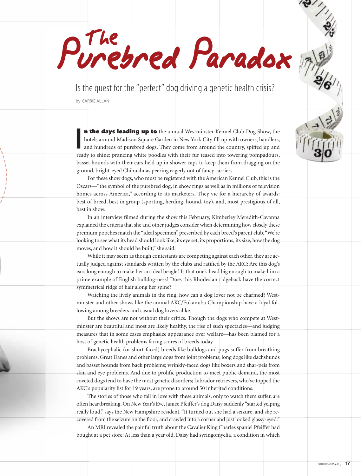# Purebred Paradox

Is the quest for the "perfect" dog driving a genetic health crisis?

by CARRIE ALLAN

**n the days leading up to** the annual Westminster Kennel Club Dog Show, the hotels around Madison Square Garden in New York City fill up with owners, handlers, and hundreds of purebred dogs. They come from around the country, spiffed up and In the days leading up to the annual Westminster Kennel Club Dog Show, the hotels around Madison Square Garden in New York City fill up with owners, handlers, and hundreds of purebred dogs. They come from around the countr basset hounds with their ears held up in shower caps to keep them from dragging on the ground, bright-eyed Chihuahuas peering eagerly out of fancy carriers.

For these show dogs, who must be registered with the American Kennel Club, this is the Oscars—"the symbol of the purebred dog, in show rings as well as in millions of television homes across America," according to its marketers. They vie for a hierarchy of awards: best of breed, best in group (sporting, herding, hound, toy), and, most prestigious of all, best in show.

In an interview filmed during the show this February, Kimberley Meredith-Cavanna explained the criteria that she and other judges consider when determining how closely these premium pooches match the "ideal specimen" prescribed by each breed's parent club."We're looking to see what its head should look like, its eye set, its proportions, its size, how the dog moves, and how it should be built," she said.

While it may seem as though contestants are competing against each other, they are actually judged against standards written by the clubs and ratified by the AKC: Are this dog's ears long enough to make her an ideal beagle? Is that one's head big enough to make him a prime example of English bulldog-ness? Does this Rhodesian ridgeback have the correct symmetrical ridge of hair along her spine?

Watching the lively animals in the ring, how can a dog lover not be charmed? Westminster and other shows like the annual AKC/Eukanuba Championship have a loyal following among breeders and casual dog lovers alike.

But the shows are not without their critics. Though the dogs who compete at Westminster are beautiful and most are likely healthy, the rise of such spectacles—and judging measures that in some cases emphasize appearance over welfare—has been blamed for a host of genetic health problems facing scores of breeds today.

Brachycephalic (or short-faced) breeds like bulldogs and pugs suffer from breathing problems; Great Danes and other large dogs from joint problems; long dogs like dachshunds and basset hounds from back problems; wrinkly-faced dogs like boxers and shar-peis from skin and eye problems. And due to prolific production to meet public demand, the most coveted dogs tend to have the most genetic disorders; Labrador retrievers, who've topped the AKC's popularity list for 19 years, are prone to around 50 inherited conditions.

The stories of those who fall in love with these animals, only to watch them suffer, are often heartbreaking. On New Year's Eve, Janice Pfeiffer's dog Daisy suddenly "started yelping really loud," says the New Hampshire resident. "It turned out she had a seizure, and she recovered from the seizure on the floor, and crawled into a corner and just looked glassy-eyed."

An MRI revealed the painful truth about the Cavalier King Charles spaniel Pfeiffer had bought at a pet store: At less than a year old, Daisy had syringomyelia, a condition in which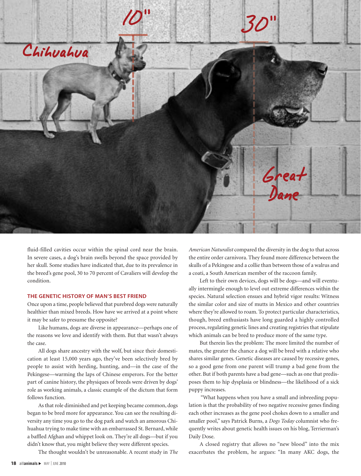

fluid-filled cavities occur within the spinal cord near the brain. In severe cases, a dog's brain swells beyond the space provided by her skull. Some studies have indicated that, due to its prevalence in the breed's gene pool, 30 to 70 percent of Cavaliers will develop the condition.

#### **THE GENETIC HISTORY OF MAN'S BEST FRIEND**

Once upon a time, people believed that purebred dogs were naturally healthier than mixed breeds. How have we arrived at a point where it may be safer to presume the opposite?

Like humans, dogs are diverse in appearance—perhaps one of the reasons we love and identify with them. But that wasn't always the case.

All dogs share ancestry with the wolf, but since their domestication at least 15,000 years ago, they've been selectively bred by people to assist with herding, hunting, and—in the case of the Pekingese—warming the laps of Chinese emperors. For the better part of canine history, the physiques of breeds were driven by dogs' role as working animals, a classic example of the dictum that form follows function.

As that role diminished and pet keeping became common, dogs began to be bred more for appearance. You can see the resulting diversity any time you go to the dog park and watch an amorous Chihuahua trying to make time with an embarrassed St. Bernard, while a baffled Afghan and whippet look on. They're all dogs—but if you didn't know that, you might believe they were different species.

The thought wouldn't be unreasonable. A recent study in *The*

*American Naturalist* compared the diversity in the dog to that across the entire order carnivora. They found more difference between the skulls of a Pekingese and a collie than between those of a walrus and a coati, a South American member of the raccoon family.

Left to their own devices, dogs will be dogs—and will eventually intermingle enough to level out extreme differences within the species. Natural selection ensues and hybrid vigor results: Witness the similar color and size of mutts in Mexico and other countries where they're allowed to roam. To protect particular characteristics, though, breed enthusiasts have long guarded a highly controlled process, regulating genetic lines and creating registries that stipulate which animals can be bred to produce more of the same type.

But therein lies the problem: The more limited the number of mates, the greater the chance a dog will be bred with a relative who shares similar genes. Genetic diseases are caused by recessive genes, so a good gene from one parent will trump a bad gene from the other. But if both parents have a bad gene—such as one that predisposes them to hip dysplasia or blindness—the likelihood of a sick puppy increases.

"What happens when you have a small and inbreeding population is that the probability of two negative recessive genes finding each other increases as the gene pool chokes down to a smaller and smaller pool," says Patrick Burns, a *Dogs Today* columnist who frequently writes about genetic health issues on his blog, Terrierman's Daily Dose.

A closed registry that allows no "new blood" into the mix exacerbates the problem, he argues: "In many AKC dogs, the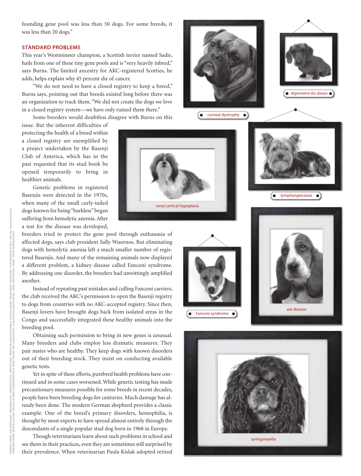founding gene pool was less than 50 dogs. For some breeds, it was less than 20 dogs."

#### **STANDARD PROBLEMS**

This year's Westminster champion, a Scottish terrier named Sadie, hails from one of these tiny gene pools and is "very heavily inbred," says Burns. The limited ancestry for AKC-registered Scotties, he adds, helps explain why 45 percent die of cancer.

"We do not need to have a closed registry to keep a breed," Burns says, pointing out that breeds existed long before there was an organization to track them. "We did not create the dogs we love in a closed registry system—we have only ruined them there."

Some breeders would doubtless disagree with Burns on this

issue. But the inherent difficulties of protecting the health of a breed within a closed registry are exemplified by a project undertaken by the Basenji Club of America, which has in the past requested that its stud book be opened temporarily to bring in healthier animals.

Genetic problems in registered Basenjis were detected in the 1970s, when many of the small curly-tailed dogs known for being "barkless" began suffering from hemolytic anemia. After a test for the disease was developed,

breeders tried to protect the gene pool through euthanasia of affected dogs, says club president Sally Wuornos. But eliminating dogs with hemolytic anemia left a much smaller number of registered Basenjis. And many of the remaining animals now displayed a different problem, a kidney disease called Fanconi syndrome. By addressing one disorder, the breeders had unwittingly amplified another.

Instead of repeating past mistakes and culling Fanconi carriers, the club received the AKC's permission to open the Basenji registry to dogs from countries with no AKC-accepted registry. Since then, Basenji lovers have brought dogs back from isolated areas in the Congo and successfully integrated these healthy animals into the breeding pool.

Obtaining such permission to bring in new genes is unusual. Many breeders and clubs employ less dramatic measures: They pair mates who are healthy. They keep dogs with known disorders out of their breeding stock. They insist on conducting available genetic tests.

Yet in spite of these efforts, purebred health problems have continued and in some cases worsened. While genetic testing has made precautionary measures possible for some breeds in recent decades, people have been breeding dogs for centuries. Much damage has already been done. The modern German shepherd provides a classic example: One of the breed's primary disorders, hemophilia, is thought by most experts to have spread almost entirely through the descendants of a single popular stud dog born in 1968 in Europe.

Though veterinarians learn about such problems in school and see them in their practices, even they are sometimes still surprised by their prevalence. When veterinarian Paula Kislak adopted retired











renal cortical hypoplasia



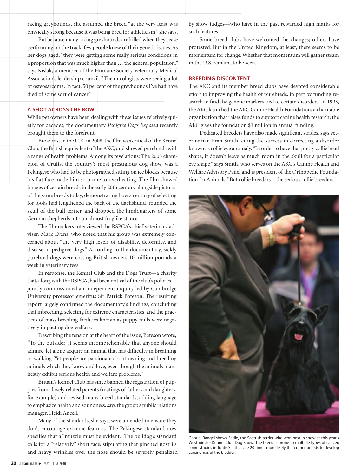racing greyhounds, she assumed the breed "at the very least was physically strong because it was being bred for athleticism," she says.

But because many racing greyhounds are killed when they cease performing on the track, few people knew of their genetic issues. As her dogs aged, "they were getting some really serious conditions in a proportion that was much higher than … the general population," says Kislak, a member of the Humane Society Veterinary Medical Association's leadership council. "The oncologists were seeing a lot of osteosarcoma. In fact, 50 percent of the greyhounds I've had have died of some sort of cancer."

#### **A SHOT ACROSS THE BOW**

While pet owners have been dealing with these issues relatively quietly for decades, the documentary *Pedigree Dogs Exposed* recently brought them to the forefront.

Broadcast in the U.K. in 2008, the film was critical of the Kennel Club, the British equivalent of the AKC, and showed purebreds with a range of health problems. Among its revelations: The 2003 champion of Crufts, the country's most prestigious dog show, was a Pekingese who had to be photographed sitting on ice blocks because his flat face made him so prone to overheating. The film showed images of certain breeds in the early 20th century alongside pictures of the same breeds today, demonstrating how a century of selecting for looks had lengthened the back of the dachshund, rounded the skull of the bull terrier, and dropped the hindquarters of some German shepherds into an almost froglike stance.

The filmmakers interviewed the RSPCA's chief veterinary adviser, Mark Evans, who noted that his group was extremely concerned about "the very high levels of disability, deformity, and disease in pedigree dogs." According to the documentary, sickly purebred dogs were costing British owners 10 million pounds a week in veterinary fees.

In response, the Kennel Club and the Dogs Trust—a charity that, along with the RSPCA, had been critical of the club's policies jointly commissioned an independent inquiry led by Cambridge University professor emeritus Sir Patrick Bateson. The resulting report largely confirmed the documentary's findings, concluding that inbreeding, selecting for extreme characteristics, and the practices of mass breeding facilities known as puppy mills were negatively impacting dog welfare.

Describing the tension at the heart of the issue, Bateson wrote, "To the outsider, it seems incomprehensible that anyone should admire, let alone acquire an animal that has difficulty in breathing or walking. Yet people are passionate about owning and breeding animals which they know and love, even though the animals manifestly exhibit serious health and welfare problems."

Britain's Kennel Club has since banned the registration of puppies from closely related parents (matings of fathers and daughters, for example) and revised many breed standards, adding language to emphasize health and soundness, says the group's public relations manager, Heidi Ancell.

Many of the standards, she says, were amended to ensure they don't encourage extreme features. The Pekingese standard now specifies that a "muzzle must be evident." The bulldog's standard calls for a "relatively" short face, stipulating that pinched nostrils and heavy wrinkles over the nose should be severely penalized by show judges—who have in the past rewarded high marks for such features.

Some breed clubs have welcomed the changes; others have protested. But in the United Kingdom, at least, there seems to be momentum for change. Whether that momentum will gather steam in the U.S. remains to be seen.

#### **BREEDING DISCONTENT**

The AKC and its member breed clubs have devoted considerable effort to improving the health of purebreds, in part by funding research to find the genetic markers tied to certain disorders. In 1995, the AKC launched the AKC Canine Health Foundation, a charitable organization that raises funds to support canine health research; the AKC gives the foundation \$1 million in annual funding.

Dedicated breeders have also made significant strides, says veterinarian Fran Smith, citing the success in correcting a disorder known as collie eye anomaly."In order to have that pretty collie head shape, it doesn't leave as much room in the skull for a particular eye shape," says Smith, who serves on the AKC's Canine Health and Welfare Advisory Panel and is president of the Orthopedic Foundation for Animals."But collie breeders—the serious collie breeders—



Gabriel Rangel shows Sadie, the Scottish terrier who won best in show at this year's Westminster Kennel Club Dog Show. The breed is prone to multiple types of cancer; some studies indicate Scotties are 20 times more likely than other breeds to develop carcinomas of the bladder.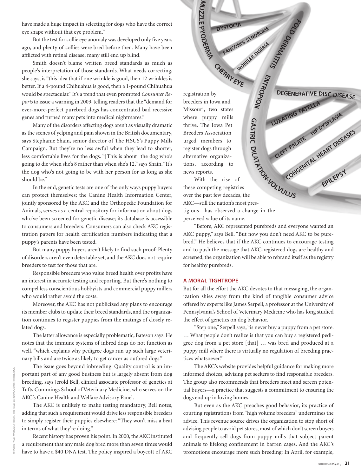have made a huge impact in selecting for dogs who have the correct eye shape without that eye problem."

But the test for collie eye anomaly was developed only five years ago, and plenty of collies were bred before then. Many have been afflicted with retinal disease; many still end up blind.

Smith doesn't blame written breed standards as much as people's interpretation of those standards. What needs correcting, she says, is "this idea that if one wrinkle is good, then 12 wrinkles is better. If a 4-pound Chihuahua is good, then a 1-pound Chihuahua would be spectacular." It's a trend that even prompted *Consumer Reports* to issue a warning in 2003, telling readers that the "demand for ever-more-perfect purebred dogs has concentrated bad recessive genes and turned many pets into medical nightmares."

Many of the disorders affecting dogs aren't as visually dramatic as the scenes of yelping and pain shown in the British documentary, says Stephanie Shain, senior director of The HSUS's Puppy Mills Campaign. But they're no less awful when they lead to shorter, less comfortable lives for the dogs. "[This is about] the dog who's going to die when she's 8 rather than when she's 12," says Shain."It's the dog who's not going to be with her person for as long as she should be."

In the end, genetic tests are one of the only ways puppy buyers can protect themselves; the Canine Health Information Center, jointly sponsored by the AKC and the Orthopedic Foundation for Animals, serves as a central repository for information about dogs who've been screened for genetic disease; its database is accessible to consumers and breeders. Consumers can also check AKC registration papers for health certification numbers indicating that a puppy's parents have been tested.

But many puppy buyers aren't likely to find such proof: Plenty of disorders aren't even detectable yet, and the AKC does not require breeders to test for those that are.

Responsible breeders who value breed health over profits have an interest in accurate testing and reporting. But there's nothing to compel less conscientious hobbyists and commercial puppy millers who would rather avoid the costs.

Moreover, the AKC has not publicized any plans to encourage its member clubs to update their breed standards, and the organization continues to register puppies from the matings of closely related dogs.

The latter allowance is especially problematic, Bateson says. He notes that the immune systems of inbred dogs do not function as well, "which explains why pedigree dogs run up such large veterinary bills and are twice as likely to get cancer as outbred dogs."

The issue goes beyond inbreeding. Quality control is an important part of any good business but is largely absent from dog breeding, says Jerold Bell, clinical associate professor of genetics at Tufts Cummings School of Veterinary Medicine, who serves on the AKC's Canine Health and Welfare Advisory Panel.

The AKC is unlikely to make testing mandatory, Bell notes, adding that such a requirement would drive less responsible breeders to simply register their puppies elsewhere: "They won't miss a beat in terms of what they're doing."

Recent history has proven his point. In 2000, the AKC instituted a requirement that any male dog bred more than seven times would have to have a \$40 DNA test. The policy inspired a boycott of AKC registration by breeders in Iowa and Missouri, two states where puppy mills thrive. The Iowa Pet Breeders Association urged members to register dogs through alternative organizations, according to news reports. **<sup>C</sup>HERR<sup>Y</sup> <sup>E</sup>Y<sup>E</sup>**

**MUZZ L E PYODERMA**

With the rise of these competing registries over the past few decades, the AKC—still the nation's most prestigious—has observed a change in the perceived value of its name. **DREADERENT PY** 

"Before, AKC represented purebreds and everyone wanted an AKC puppy," says Bell. "But now you don't need AKC to be purebred." He believes that if the AKC continues to encourage testing and to push the message that AKC-registered dogs are healthy and screened, the organization will be able to rebrand itself as the registry for healthy purebreds.

#### **A MORAL TIGHTROPE**

But for all the effort the AKC devotes to that messaging, the organization shies away from the kind of tangible consumer advice offered by experts like James Serpell, a professor at the University of Pennsylvania's School of Veterinary Medicine who has long studied the effect of genetics on dog behavior.

"Step one," Serpell says, "is never buy a puppy from a pet store. … What people don't realize is that you can buy a registered pedigree dog from a pet store [that] … was bred and produced at a puppy mill where there is virtually no regulation of breeding practices whatsoever."

The AKC's website provides helpful guidance for making more informed choices, advising pet seekers to find responsible breeders. The group also recommends that breeders meet and screen potential buyers—a practice that suggests a commitment to ensuring the dogs end up in loving homes.

But even as the AKC preaches good behavior, its practice of courting registrations from "high volume breeders" undermines the advice. This revenue source drives the organization to stop short of advising people to avoid pet stores, most of which don't screen buyers and frequently sell dogs from puppy mills that subject parent animals to lifelong confinement in barren cages. And the AKC's promotions encourage more such breeding: In April, for example,

**DEGENERATIVE DISC DISEASE** 

**CLEFT PALATE HIP DYSPLASIA**

LUXATING PATELL

**CONGENITAL HEART DISEASES** 

**EPILEPSY**

 $\sigma_{\rm c}$ 

 $\frac{Sl_l}{k}$ **V** 

**ENTROP**

**OI N**

**WOBBLER DISEASE**

**FANCONI'S SYNDROME**

**DYSTOCIA** 

GASTRIC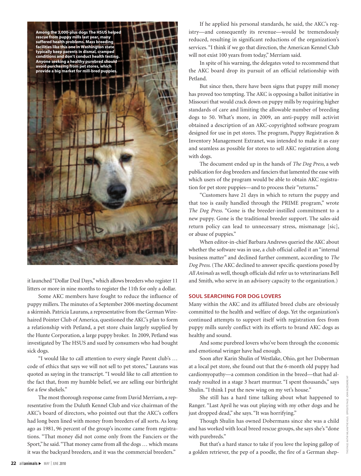

it launched "Dollar Deal Days," which allows breeders who register 11 litters or more in nine months to register the 11th for only a dollar.

Some AKC members have fought to reduce the influence of puppy millers. The minutes of a September 2006 meeting document a skirmish. Patricia Laurans, a representative from the German Wirehaired Pointer Club of America, questioned the AKC's plan to form a relationship with Petland, a pet store chain largely supplied by the Hunte Corporation, a large puppy broker. In 2009, Petland was investigated by The HSUS and sued by consumers who had bought sick dogs.

"I would like to call attention to every single Parent club's … code of ethics that says we will not sell to pet stores," Laurans was quoted as saying in the transcript. "I would like to call attention to the fact that, from my humble belief, we are selling our birthright for a few shekels."

The most thorough response came from David Merriam, a representative from the Duluth Kennel Club and vice chairman of the AKC's board of directors, who pointed out that the AKC's coffers had long been lined with money from breeders of all sorts. As long ago as 1981, 96 percent of the group's income came from registrations. "That money did not come only from the Fanciers or the Sport," he said."That money came from all the dogs … which means it was the backyard breeders, and it was the commercial breeders."

If he applied his personal standards, he said, the AKC's registry—and consequently its revenue—would be tremendously reduced, resulting in significant reductions of the organization's services. "I think if we go that direction, the American Kennel Club will not exist 100 years from today," Merriam said.

In spite of his warning, the delegates voted to recommend that the AKC board drop its pursuit of an official relationship with Petland.

But since then, there have been signs that puppy mill money has proved too tempting. The AKC is opposing a ballot initiative in Missouri that would crack down on puppy mills by requiring higher standards of care and limiting the allowable number of breeding dogs to 50. What's more, in 2009, an anti-puppy mill activist obtained a description of an AKC-copyrighted software program designed for use in pet stores. The program, Puppy Registration & Inventory Management Extranet, was intended to make it as easy and seamless as possible for stores to sell AKC registration along with dogs.

The document ended up in the hands of *The Dog Press*, a web publication for dog breeders and fanciers that lamented the ease with which users of the program would be able to obtain AKC registration for pet store puppies—and to process their "returns."

"Customers have 21 days in which to return the puppy and that too is easily handled through the PRIME program," wrote *The Dog Press*. "Gone is the breeder-instilled commitment to a new puppy. Gone is the traditional breeder support. The sales-aid return policy can lead to unnecessary stress, mismanage [sic], or abuse of puppies."

When editor-in-chief Barbara Andrews queried the AKC about whether the software was in use, a club official called it an "internal business matter" and declined further comment, according to *The Dog Press*. (The AKC declined to answer specific questions posed by *All Animals* as well, though officials did refer us to veterinarians Bell and Smith, who serve in an advisory capacity to the organization.)

#### **SOUL SEARCHING FOR DOG LOVERS**

Many within the AKC and its affiliated breed clubs are obviously committed to the health and welfare of dogs. Yet the organization's continued attempts to support itself with registration fees from puppy mills surely conflict with its efforts to brand AKC dogs as healthy and sound.

And some purebred lovers who've been through the economic and emotional wringer have had enough.

Soon after Karin Shulin of Westlake, Ohio, got her Doberman at a local pet store, she found out that the 6-month old puppy had cardiomyopathy—a common condition in the breed—that had already resulted in a stage 3 heart murmur. "I spent thousands," says Shulin. "I think I put the new wing on my vet's house."

She still has a hard time talking about what happened to Ranger. "Last April he was out playing with my other dogs and he just dropped dead," she says. "It was horrifying."

Though Shulin has owned Dobermans since she was a child and has worked with local breed rescue groups, she says she's "done with purebreds."

But that's a hard stance to take if you love the loping gallop of a golden retriever, the pep of a poodle, the fire of a German shep